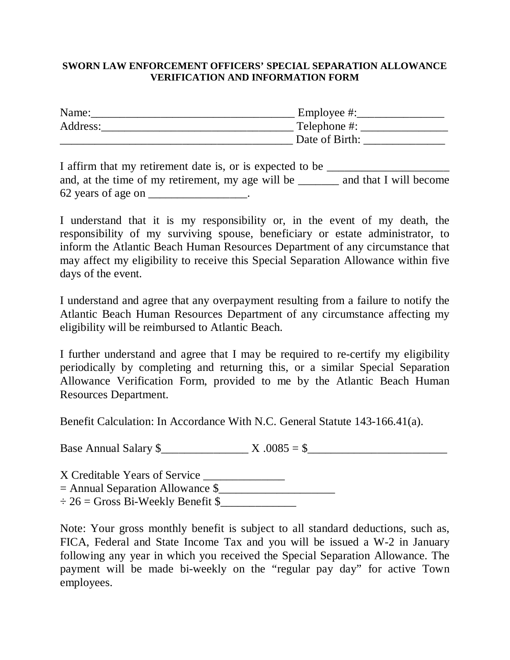#### **SWORN LAW ENFORCEMENT OFFICERS' SPECIAL SEPARATION ALLOWANCE VERIFICATION AND INFORMATION FORM**

| Name:    | Employee #:    |
|----------|----------------|
| Address: | Telephone #:   |
|          | Date of Birth: |

| I affirm that my retirement date is, or is expected to be |                        |
|-----------------------------------------------------------|------------------------|
| and, at the time of my retirement, my age will be         | and that I will become |
| 62 years of age on                                        |                        |

I understand that it is my responsibility or, in the event of my death, the responsibility of my surviving spouse, beneficiary or estate administrator, to inform the Atlantic Beach Human Resources Department of any circumstance that may affect my eligibility to receive this Special Separation Allowance within five days of the event.

I understand and agree that any overpayment resulting from a failure to notify the Atlantic Beach Human Resources Department of any circumstance affecting my eligibility will be reimbursed to Atlantic Beach.

I further understand and agree that I may be required to re-certify my eligibility periodically by completing and returning this, or a similar Special Separation Allowance Verification Form, provided to me by the Atlantic Beach Human Resources Department.

Benefit Calculation: In Accordance With N.C. General Statute 143-166.41(a).

Base Annual Salary  $\frac{8}{2}$   $X.0085 = \frac{8}{2}$ 

X Creditable Years of Service \_\_\_\_\_\_\_\_\_\_\_\_\_\_\_  $=$  Annual Separation Allowance  $\frac{1}{2}$  $\div 26 =$  Gross Bi-Weekly Benefit \$

Note: Your gross monthly benefit is subject to all standard deductions, such as, FICA, Federal and State Income Tax and you will be issued a W-2 in January following any year in which you received the Special Separation Allowance. The payment will be made bi-weekly on the "regular pay day" for active Town employees.